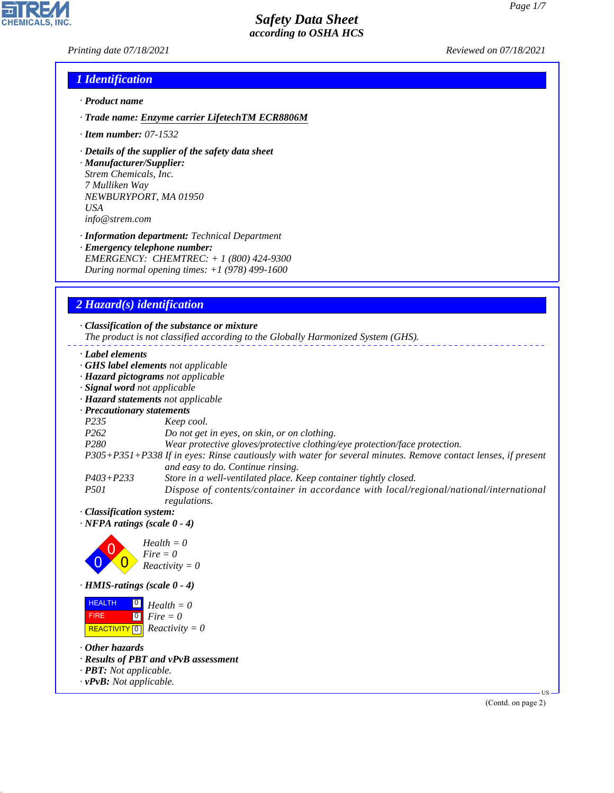*Printing date 07/18/2021 Reviewed on 07/18/2021*

H

**CHEMICALS, INC.** 

# *1 Identification*

- *· Product name*
- *· Trade name: Enzyme carrier LifetechTM ECR8806M*
- *· Item number: 07-1532*
- *· Details of the supplier of the safety data sheet*

*· Manufacturer/Supplier: Strem Chemicals, Inc. 7 Mulliken Way NEWBURYPORT, MA 01950 USA info@strem.com*

*· Information department: Technical Department · Emergency telephone number: EMERGENCY: CHEMTREC: + 1 (800) 424-9300 During normal opening times: +1 (978) 499-1600*

# *2 Hazard(s) identification*

 $=$   $-$ 

|                                                                                                               | · Classification of the substance or mixture<br>The product is not classified according to the Globally Harmonized System (GHS). |  |  |  |
|---------------------------------------------------------------------------------------------------------------|----------------------------------------------------------------------------------------------------------------------------------|--|--|--|
| · Label elements                                                                                              |                                                                                                                                  |  |  |  |
| GHS label elements not applicable                                                                             |                                                                                                                                  |  |  |  |
| · Hazard pictograms not applicable                                                                            |                                                                                                                                  |  |  |  |
| · Signal word not applicable                                                                                  |                                                                                                                                  |  |  |  |
| · Hazard statements not applicable                                                                            |                                                                                                                                  |  |  |  |
| · Precautionary statements                                                                                    |                                                                                                                                  |  |  |  |
| P <sub>235</sub>                                                                                              | Keep cool.                                                                                                                       |  |  |  |
| P <sub>262</sub>                                                                                              | Do not get in eyes, on skin, or on clothing.                                                                                     |  |  |  |
| P <sub>280</sub>                                                                                              | Wear protective gloves/protective clothing/eye protection/face protection.                                                       |  |  |  |
| P305+P351+P338 If in eyes: Rinse cautiously with water for several minutes. Remove contact lenses, if present |                                                                                                                                  |  |  |  |
|                                                                                                               | and easy to do. Continue rinsing.                                                                                                |  |  |  |
| $P403 + P233$                                                                                                 | Store in a well-ventilated place. Keep container tightly closed.                                                                 |  |  |  |
| <i>P501</i>                                                                                                   | Dispose of contents/container in accordance with local/regional/national/international                                           |  |  |  |
|                                                                                                               | regulations.                                                                                                                     |  |  |  |
| · Classification system:                                                                                      |                                                                                                                                  |  |  |  |
| $\cdot$ NFPA ratings (scale $0 - 4$ )                                                                         |                                                                                                                                  |  |  |  |
|                                                                                                               |                                                                                                                                  |  |  |  |
|                                                                                                               |                                                                                                                                  |  |  |  |
|                                                                                                               | $Health = 0$<br>Fire = 0<br>Reactivity = 0                                                                                       |  |  |  |
|                                                                                                               |                                                                                                                                  |  |  |  |
| $\cdot$ HMIS-ratings (scale $0 - 4$ )                                                                         |                                                                                                                                  |  |  |  |
| <b>HEALTH</b><br>$\boxed{0}$<br> 0 <br><b>FIRE</b>                                                            | $Health = 0$<br>$Fire = 0$                                                                                                       |  |  |  |
| REACTIVITY <sup>0</sup>                                                                                       | $Reactivity = 0$                                                                                                                 |  |  |  |

*· Other hazards*

44.1.1

- *· Results of PBT and vPvB assessment*
- *· PBT: Not applicable.*
- *· vPvB: Not applicable.*

(Contd. on page 2)

US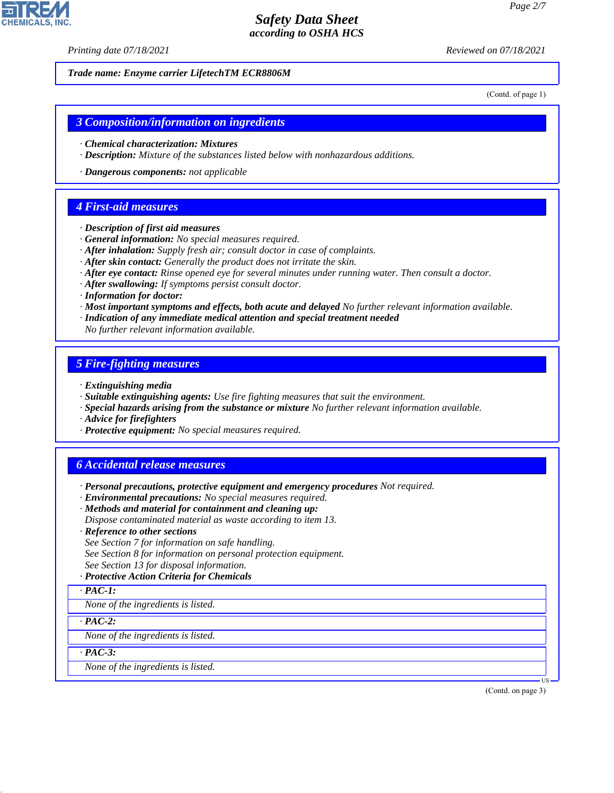*Printing date 07/18/2021 Reviewed on 07/18/2021*

*Trade name: Enzyme carrier LifetechTM ECR8806M*

(Contd. of page 1)

### *3 Composition/information on ingredients*

- *· Chemical characterization: Mixtures*
- *· Description: Mixture of the substances listed below with nonhazardous additions.*
- *· Dangerous components: not applicable*

### *4 First-aid measures*

- *· Description of first aid measures*
- *· General information: No special measures required.*
- *· After inhalation: Supply fresh air; consult doctor in case of complaints.*
- *· After skin contact: Generally the product does not irritate the skin.*
- *· After eye contact: Rinse opened eye for several minutes under running water. Then consult a doctor.*
- *· After swallowing: If symptoms persist consult doctor.*
- *· Information for doctor:*
- *· Most important symptoms and effects, both acute and delayed No further relevant information available.*
- *· Indication of any immediate medical attention and special treatment needed*
- *No further relevant information available.*

### *5 Fire-fighting measures*

- *· Extinguishing media*
- *· Suitable extinguishing agents: Use fire fighting measures that suit the environment.*
- *· Special hazards arising from the substance or mixture No further relevant information available.*
- *· Advice for firefighters*
- *· Protective equipment: No special measures required.*

### *6 Accidental release measures*

- *· Personal precautions, protective equipment and emergency procedures Not required.*
- *· Environmental precautions: No special measures required.*
- *· Methods and material for containment and cleaning up:*
- *Dispose contaminated material as waste according to item 13.*
- *· Reference to other sections*
- *See Section 7 for information on safe handling.*
- *See Section 8 for information on personal protection equipment.*
- *See Section 13 for disposal information.*

#### *· Protective Action Criteria for Chemicals*

*· PAC-1:*

*None of the ingredients is listed.*

*· PAC-2:*

*None of the ingredients is listed.*

*· PAC-3:*

44.1.1

*None of the ingredients is listed.*

(Contd. on page 3)

US

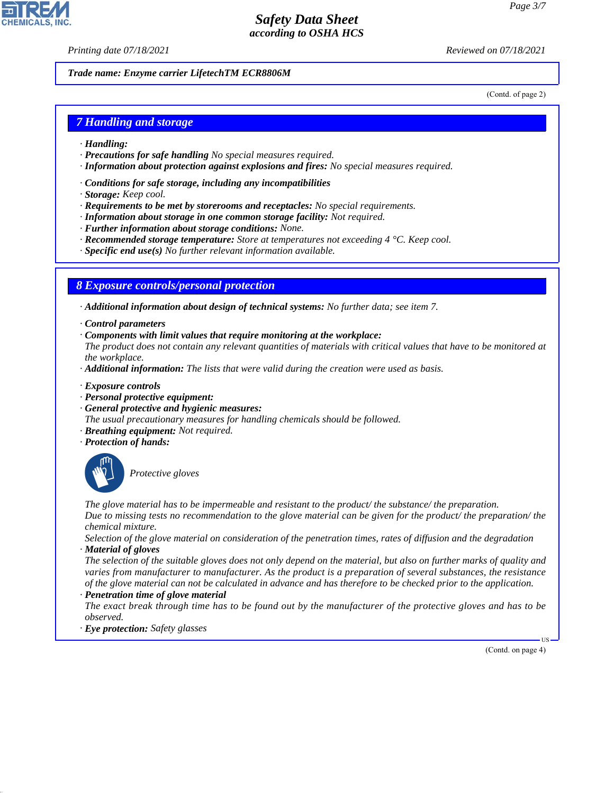*Printing date 07/18/2021 Reviewed on 07/18/2021*

*Trade name: Enzyme carrier LifetechTM ECR8806M*

(Contd. of page 2)

### *7 Handling and storage*

- *· Handling:*
- *· Precautions for safe handling No special measures required.*
- *· Information about protection against explosions and fires: No special measures required.*
- *· Conditions for safe storage, including any incompatibilities*
- *· Storage: Keep cool.*
- *· Requirements to be met by storerooms and receptacles: No special requirements.*
- *· Information about storage in one common storage facility: Not required.*
- *· Further information about storage conditions: None.*
- *· Recommended storage temperature: Store at temperatures not exceeding 4 °C. Keep cool.*
- *· Specific end use(s) No further relevant information available.*

### *8 Exposure controls/personal protection*

*· Additional information about design of technical systems: No further data; see item 7.*

- *· Control parameters*
- *· Components with limit values that require monitoring at the workplace:*

*The product does not contain any relevant quantities of materials with critical values that have to be monitored at the workplace.*

- *· Additional information: The lists that were valid during the creation were used as basis.*
- *· Exposure controls*
- *· Personal protective equipment:*
- *· General protective and hygienic measures:*
- *The usual precautionary measures for handling chemicals should be followed.*
- *· Breathing equipment: Not required.*
- *· Protection of hands:*



44.1.1

\_S*Protective gloves*

*The glove material has to be impermeable and resistant to the product/ the substance/ the preparation. Due to missing tests no recommendation to the glove material can be given for the product/ the preparation/ the chemical mixture.*

*Selection of the glove material on consideration of the penetration times, rates of diffusion and the degradation · Material of gloves*

*The selection of the suitable gloves does not only depend on the material, but also on further marks of quality and varies from manufacturer to manufacturer. As the product is a preparation of several substances, the resistance of the glove material can not be calculated in advance and has therefore to be checked prior to the application. · Penetration time of glove material*

*The exact break through time has to be found out by the manufacturer of the protective gloves and has to be observed.*

*· Eye protection: Safety glasses*

(Contd. on page 4)

US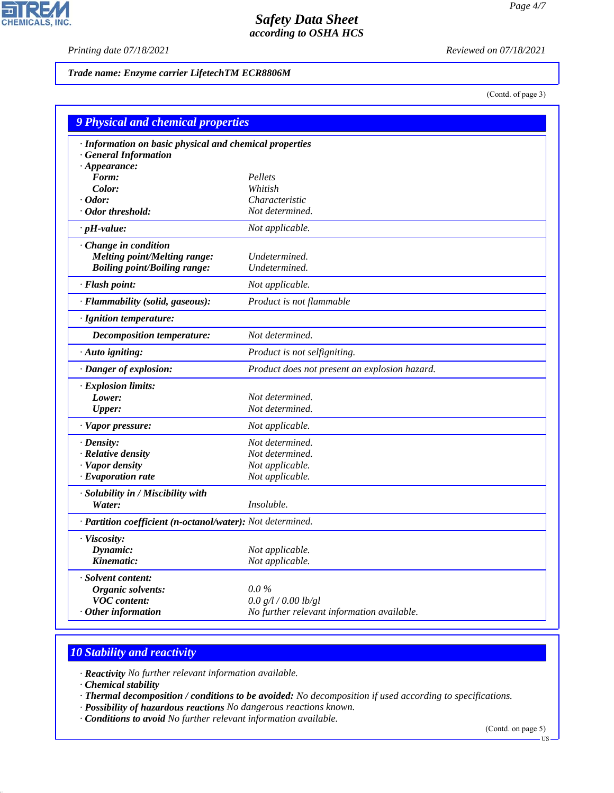P

**CHEMICALS, INC.** 

*Printing date 07/18/2021 Reviewed on 07/18/2021*

*Trade name: Enzyme carrier LifetechTM ECR8806M*

(Contd. of page 3)

| <b>9 Physical and chemical properties</b>                  |                                               |  |  |
|------------------------------------------------------------|-----------------------------------------------|--|--|
| · Information on basic physical and chemical properties    |                                               |  |  |
| · General Information                                      |                                               |  |  |
| $\cdot$ Appearance:                                        |                                               |  |  |
| Form:                                                      | Pellets                                       |  |  |
| Color:                                                     | Whitish                                       |  |  |
| $\cdot$ Odor:                                              | Characteristic                                |  |  |
| Odor threshold:                                            | Not determined.                               |  |  |
| $\cdot$ pH-value:                                          | Not applicable.                               |  |  |
| Change in condition                                        |                                               |  |  |
| <b>Melting point/Melting range:</b>                        | Undetermined.                                 |  |  |
| <b>Boiling point/Boiling range:</b>                        | Undetermined.                                 |  |  |
| · Flash point:                                             | Not applicable.                               |  |  |
| · Flammability (solid, gaseous):                           | Product is not flammable                      |  |  |
| · Ignition temperature:                                    |                                               |  |  |
| <b>Decomposition temperature:</b>                          | Not determined.                               |  |  |
| $\cdot$ Auto igniting:                                     | Product is not selfigniting.                  |  |  |
| · Danger of explosion:                                     | Product does not present an explosion hazard. |  |  |
| · Explosion limits:                                        |                                               |  |  |
| Lower:                                                     | Not determined.                               |  |  |
| <b>Upper:</b>                                              | Not determined.                               |  |  |
| · Vapor pressure:                                          | Not applicable.                               |  |  |
| $\cdot$ Density:                                           | Not determined.                               |  |  |
| · Relative density                                         | Not determined.                               |  |  |
| · Vapor density                                            | Not applicable.                               |  |  |
| $\cdot$ Evaporation rate                                   | Not applicable.                               |  |  |
| · Solubility in / Miscibility with                         |                                               |  |  |
| Water:                                                     | Insoluble.                                    |  |  |
| · Partition coefficient (n-octanol/water): Not determined. |                                               |  |  |
| · Viscosity:                                               |                                               |  |  |
| Dynamic:                                                   | Not applicable.                               |  |  |
| Kinematic:                                                 | Not applicable.                               |  |  |
| · Solvent content:                                         |                                               |  |  |
| Organic solvents:                                          | $0.0\%$                                       |  |  |
| <b>VOC</b> content:                                        | 0.0 g/l / 0.00 lb/gl                          |  |  |
| $\cdot$ Other information                                  | No further relevant information available.    |  |  |

# *10 Stability and reactivity*

*· Reactivity No further relevant information available.*

*· Chemical stability*

44.1.1

*· Thermal decomposition / conditions to be avoided: No decomposition if used according to specifications.*

- *· Possibility of hazardous reactions No dangerous reactions known.*
- *· Conditions to avoid No further relevant information available.*

(Contd. on page 5)

US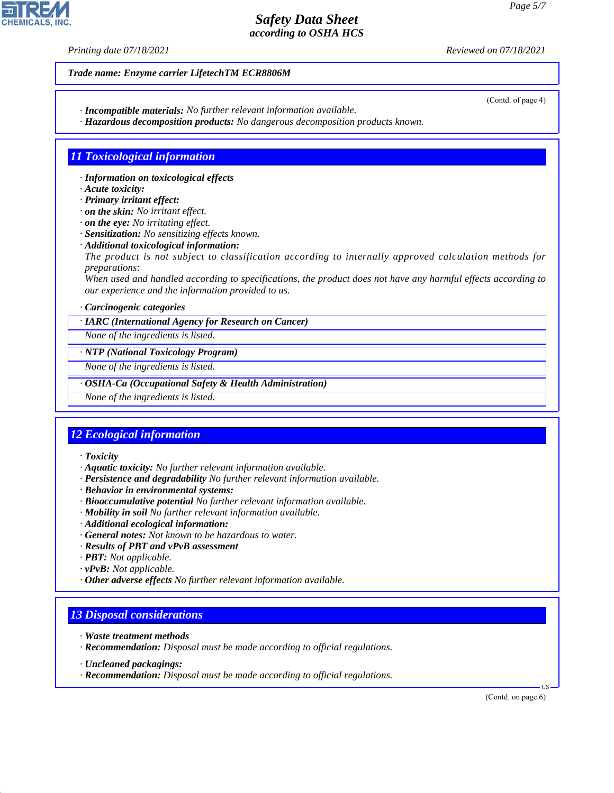*Printing date 07/18/2021 Reviewed on 07/18/2021*

*Trade name: Enzyme carrier LifetechTM ECR8806M*

- *· Incompatible materials: No further relevant information available.*
- *· Hazardous decomposition products: No dangerous decomposition products known.*

### *11 Toxicological information*

- *· Information on toxicological effects*
- *· Acute toxicity:*
- *· Primary irritant effect:*
- *· on the skin: No irritant effect.*
- *· on the eye: No irritating effect.*
- *· Sensitization: No sensitizing effects known.*
- *· Additional toxicological information:*
- *The product is not subject to classification according to internally approved calculation methods for preparations:*

*When used and handled according to specifications, the product does not have any harmful effects according to our experience and the information provided to us.*

#### *· Carcinogenic categories*

*· IARC (International Agency for Research on Cancer)*

*None of the ingredients is listed.*

#### *· NTP (National Toxicology Program)*

*None of the ingredients is listed.*

#### *· OSHA-Ca (Occupational Safety & Health Administration)*

*None of the ingredients is listed.*

# *12 Ecological information*

### *· Toxicity*

- *· Aquatic toxicity: No further relevant information available.*
- *· Persistence and degradability No further relevant information available.*
- *· Behavior in environmental systems:*
- *· Bioaccumulative potential No further relevant information available.*
- *· Mobility in soil No further relevant information available.*
- *· Additional ecological information:*
- *· General notes: Not known to be hazardous to water.*
- *· Results of PBT and vPvB assessment*
- *· PBT: Not applicable.*
- *· vPvB: Not applicable.*
- *· Other adverse effects No further relevant information available.*

# *13 Disposal considerations*

- *· Waste treatment methods*
- *· Recommendation: Disposal must be made according to official regulations.*
- *· Uncleaned packagings:*

44.1.1

*· Recommendation: Disposal must be made according to official regulations.*

(Contd. on page 6)

US



(Contd. of page 4)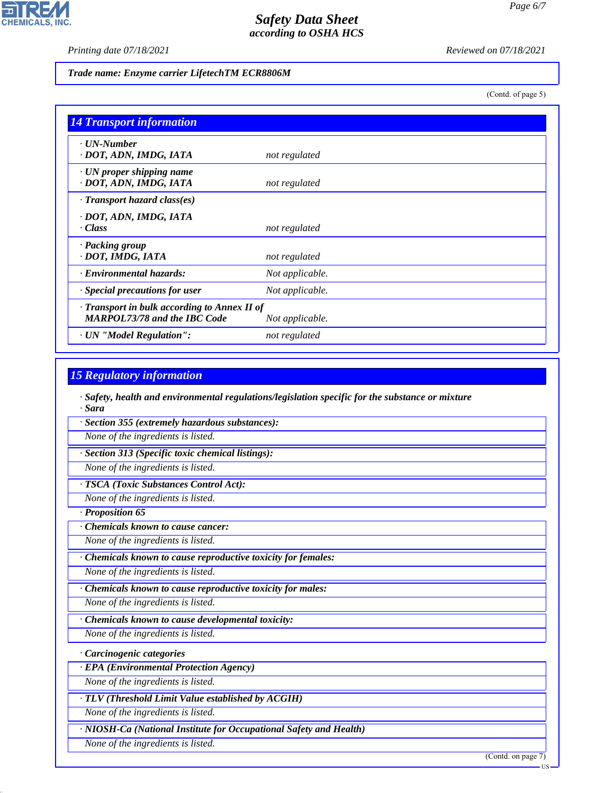$\mathbf{L}$ 

**CHEMICALS, INC.** 

*Printing date 07/18/2021 Reviewed on 07/18/2021*

#### *Trade name: Enzyme carrier LifetechTM ECR8806M*

(Contd. of page 5)

| <b>14 Transport information</b>                                                     |                 |
|-------------------------------------------------------------------------------------|-----------------|
| $\cdot$ UN-Number<br>· DOT, ADN, IMDG, IATA                                         | not regulated   |
| $\cdot$ UN proper shipping name<br>· DOT, ADN, IMDG, IATA                           | not regulated   |
| $\cdot$ Transport hazard class(es)                                                  |                 |
| · DOT, ADN, IMDG, IATA<br>$\cdot Class$                                             | not regulated   |
| · Packing group<br>· DOT, IMDG, IATA                                                | not regulated   |
| · Environmental hazards:                                                            | Not applicable. |
| Special precautions for user                                                        | Not applicable. |
| · Transport in bulk according to Annex II of<br><b>MARPOL73/78 and the IBC Code</b> | Not applicable. |
| · UN "Model Regulation":                                                            | not regulated   |

### *15 Regulatory information*

*· Safety, health and environmental regulations/legislation specific for the substance or mixture · Sara*

*· Section 355 (extremely hazardous substances):*

*None of the ingredients is listed.*

*· Section 313 (Specific toxic chemical listings):*

*None of the ingredients is listed.*

*· TSCA (Toxic Substances Control Act):*

*None of the ingredients is listed.*

*· Proposition 65*

*· Chemicals known to cause cancer:*

*None of the ingredients is listed.*

*· Chemicals known to cause reproductive toxicity for females:*

*None of the ingredients is listed.*

*· Chemicals known to cause reproductive toxicity for males:*

*None of the ingredients is listed.*

*· Chemicals known to cause developmental toxicity:*

*None of the ingredients is listed.*

*· Carcinogenic categories*

*· EPA (Environmental Protection Agency)*

*None of the ingredients is listed.*

*· TLV (Threshold Limit Value established by ACGIH)*

*None of the ingredients is listed.*

*· NIOSH-Ca (National Institute for Occupational Safety and Health)*

*None of the ingredients is listed.*

44.1.1

(Contd. on page 7)

US